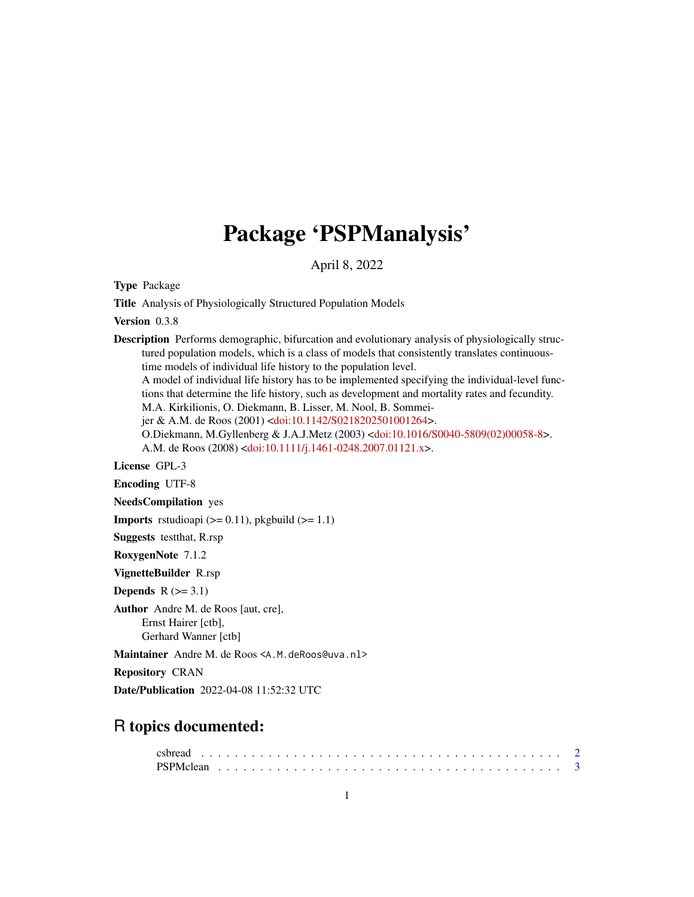## Package 'PSPManalysis'

April 8, 2022

Type Package

Title Analysis of Physiologically Structured Population Models

Version 0.3.8

Description Performs demographic, bifurcation and evolutionary analysis of physiologically structured population models, which is a class of models that consistently translates continuoustime models of individual life history to the population level. A model of individual life history has to be implemented specifying the individual-level functions that determine the life history, such as development and mortality rates and fecundity. M.A. Kirkilionis, O. Diekmann, B. Lisser, M. Nool, B. Sommeijer & A.M. de Roos (2001) [<doi:10.1142/S0218202501001264>](https://doi.org/10.1142/S0218202501001264). O.Diekmann, M.Gyllenberg & J.A.J.Metz (2003) [<doi:10.1016/S0040-5809\(02\)00058-8>](https://doi.org/10.1016/S0040-5809(02)00058-8). A.M. de Roos (2008) [<doi:10.1111/j.1461-0248.2007.01121.x>](https://doi.org/10.1111/j.1461-0248.2007.01121.x).

License GPL-3

Encoding UTF-8

NeedsCompilation yes

**Imports** rstudioapi  $(>= 0.11)$ , pkgbuild  $(>= 1.1)$ 

Suggests testthat, R.rsp

RoxygenNote 7.1.2

VignetteBuilder R.rsp

Depends  $R$  ( $>= 3.1$ )

Author Andre M. de Roos [aut, cre], Ernst Hairer [ctb], Gerhard Wanner [ctb]

Maintainer Andre M. de Roos <A.M. deRoos@uva.nl>

Repository CRAN

Date/Publication 2022-04-08 11:52:32 UTC

### R topics documented: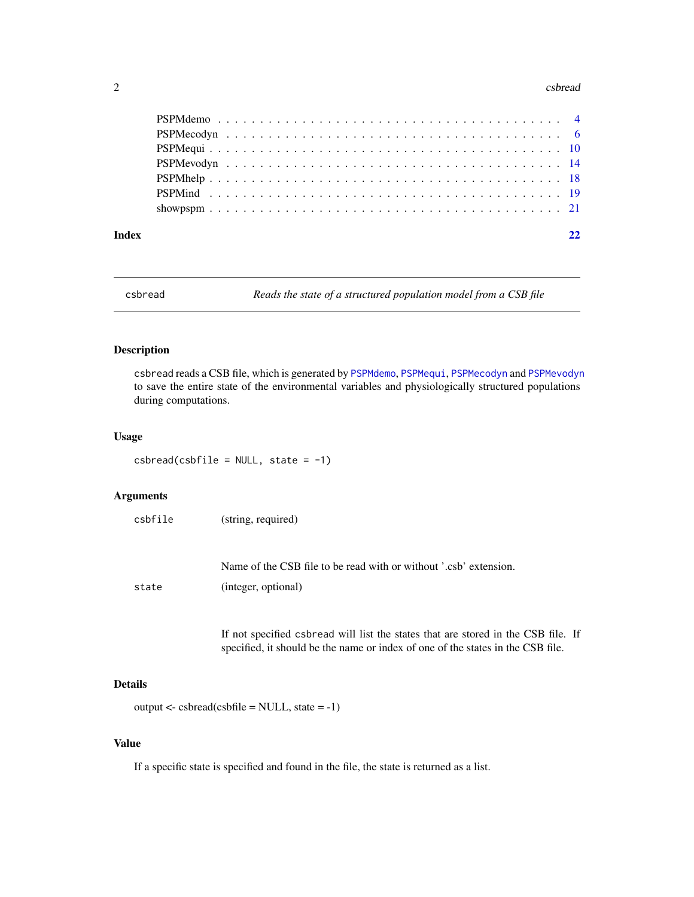#### <span id="page-1-0"></span>2 csbread and the contract of the contract of the contract of the contract of the contract of the contract of the contract of the contract of the contract of the contract of the contract of the contract of the contract of

| Index |  |
|-------|--|

csbread *Reads the state of a structured population model from a CSB file*

#### Description

csbread reads a CSB file, which is generated by [PSPMdemo](#page-3-1), [PSPMequi](#page-9-1), [PSPMecodyn](#page-5-1) and [PSPMevodyn](#page-13-1) to save the entire state of the environmental variables and physiologically structured populations during computations.

#### Usage

 $csbread(csbfile = NULL, state = -1)$ 

#### Arguments

| csbfile | (string, required)                                                |
|---------|-------------------------------------------------------------------|
|         |                                                                   |
|         |                                                                   |
|         | Name of the CSB file to be read with or without '.csb' extension. |

state (integer, optional)

If not specified csbread will list the states that are stored in the CSB file. If specified, it should be the name or index of one of the states in the CSB file.

#### Details

```
output < -csbread(csbfile = NULL, state = -1)
```
#### Value

If a specific state is specified and found in the file, the state is returned as a list.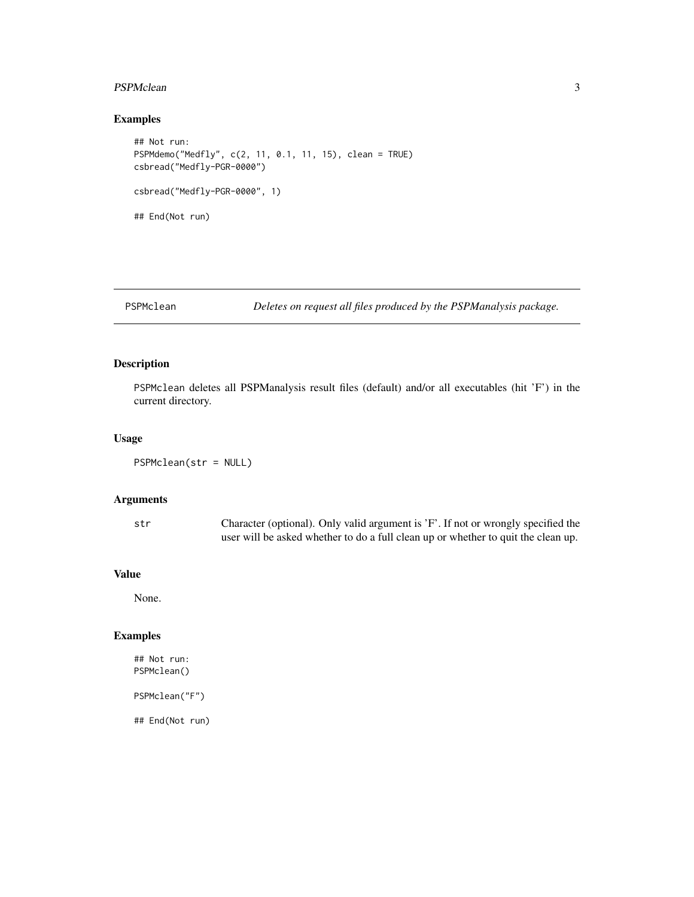#### <span id="page-2-0"></span>PSPMclean 3

#### Examples

```
## Not run:
PSPMdemo("Medfly", c(2, 11, 0.1, 11, 15), clean = TRUE)
csbread("Medfly-PGR-0000")
csbread("Medfly-PGR-0000", 1)
## End(Not run)
```
PSPMclean *Deletes on request all files produced by the PSPManalysis package.*

#### Description

PSPMclean deletes all PSPManalysis result files (default) and/or all executables (hit 'F') in the current directory.

#### Usage

```
PSPMclean(str = NULL)
```
#### Arguments

str Character (optional). Only valid argument is 'F'. If not or wrongly specified the user will be asked whether to do a full clean up or whether to quit the clean up.

#### Value

None.

#### Examples

## Not run: PSPMclean()

PSPMclean("F")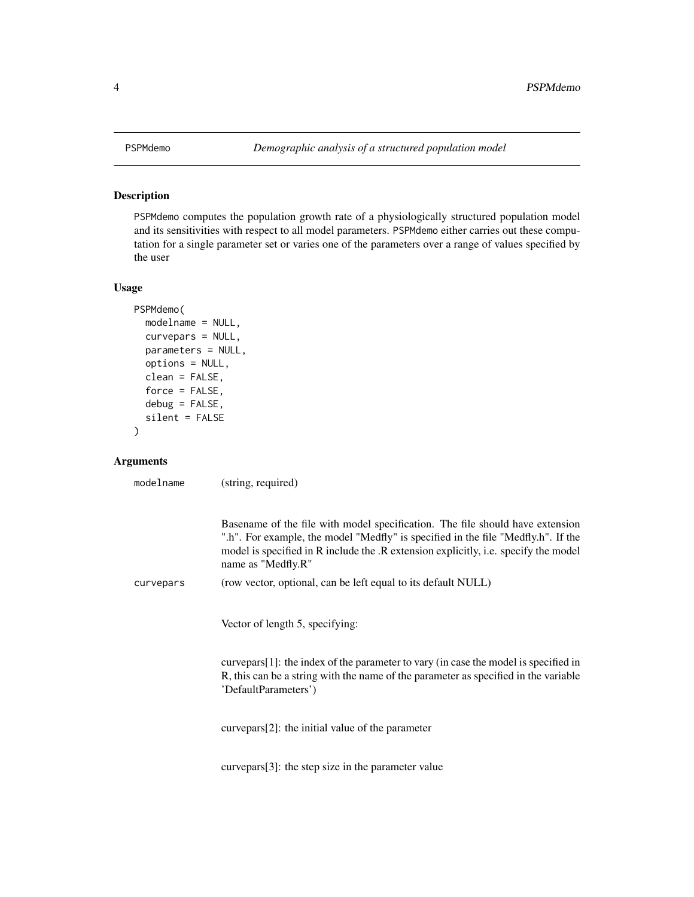<span id="page-3-1"></span><span id="page-3-0"></span>

#### Description

PSPMdemo computes the population growth rate of a physiologically structured population model and its sensitivities with respect to all model parameters. PSPMdemo either carries out these computation for a single parameter set or varies one of the parameters over a range of values specified by the user

#### Usage

```
PSPMdemo(
 modelname = NULL,
  curvepars = NULL,
 parameters = NULL,
 options = NULL,
  clean = FALSE,
  force = FALSE,
  debug = FALSE,
  silent = FALSE
\mathcal{L}
```
#### Arguments

modelname (string, required)

|           | Basename of the file with model specification. The file should have extension<br>".h". For example, the model "Medfly" is specified in the file "Medfly.h". If the<br>model is specified in R include the .R extension explicitly, i.e. specify the model<br>name as "Medfly.R" |
|-----------|---------------------------------------------------------------------------------------------------------------------------------------------------------------------------------------------------------------------------------------------------------------------------------|
| curvepars | (row vector, optional, can be left equal to its default NULL)                                                                                                                                                                                                                   |
|           | Vector of length 5, specifying:                                                                                                                                                                                                                                                 |
|           | curvepars[1]: the index of the parameter to vary (in case the model is specified in                                                                                                                                                                                             |
|           | R, this can be a string with the name of the parameter as specified in the variable<br>'DefaultParameters')                                                                                                                                                                     |
|           |                                                                                                                                                                                                                                                                                 |
|           | curvepars[2]: the initial value of the parameter                                                                                                                                                                                                                                |
|           |                                                                                                                                                                                                                                                                                 |
|           | $curvepars[3]$ : the step size in the parameter value                                                                                                                                                                                                                           |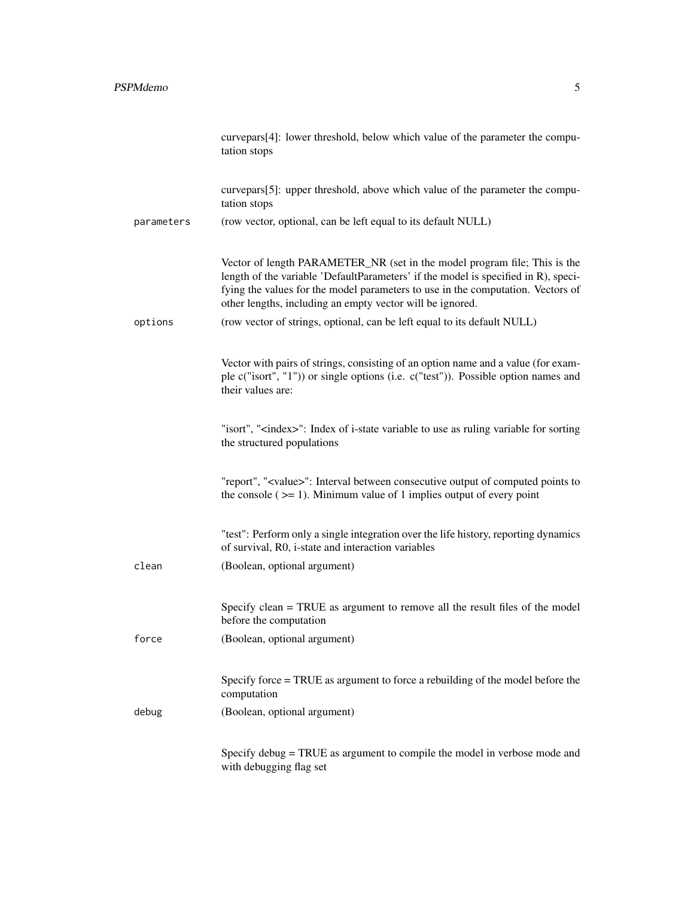|            | curvepars[4]: lower threshold, below which value of the parameter the compu-<br>tation stops                                                                                                                                                                                                                    |
|------------|-----------------------------------------------------------------------------------------------------------------------------------------------------------------------------------------------------------------------------------------------------------------------------------------------------------------|
|            | curvepars[5]: upper threshold, above which value of the parameter the compu-<br>tation stops                                                                                                                                                                                                                    |
| parameters | (row vector, optional, can be left equal to its default NULL)                                                                                                                                                                                                                                                   |
|            | Vector of length PARAMETER_NR (set in the model program file; This is the<br>length of the variable 'DefaultParameters' if the model is specified in R), speci-<br>fying the values for the model parameters to use in the computation. Vectors of<br>other lengths, including an empty vector will be ignored. |
| options    | (row vector of strings, optional, can be left equal to its default NULL)                                                                                                                                                                                                                                        |
|            | Vector with pairs of strings, consisting of an option name and a value (for exam-<br>ple c("isort", "1")) or single options (i.e. c("test")). Possible option names and<br>their values are:                                                                                                                    |
|            | "isort", " <index>": Index of i-state variable to use as ruling variable for sorting<br/>the structured populations</index>                                                                                                                                                                                     |
|            | "report", " <value>": Interval between consecutive output of computed points to<br/>the console <math>(&gt;= 1)</math>. Minimum value of 1 implies output of every point</value>                                                                                                                                |
|            | "test": Perform only a single integration over the life history, reporting dynamics<br>of survival, R0, i-state and interaction variables                                                                                                                                                                       |
| clean      | (Boolean, optional argument)                                                                                                                                                                                                                                                                                    |
|            | Specify clean = TRUE as argument to remove all the result files of the model<br>before the computation                                                                                                                                                                                                          |
| force      | (Boolean, optional argument)                                                                                                                                                                                                                                                                                    |
|            | Specify force = TRUE as argument to force a rebuilding of the model before the<br>computation                                                                                                                                                                                                                   |
| debug      | (Boolean, optional argument)                                                                                                                                                                                                                                                                                    |
|            | Specify debug = TRUE as argument to compile the model in verbose mode and<br>with debugging flag set                                                                                                                                                                                                            |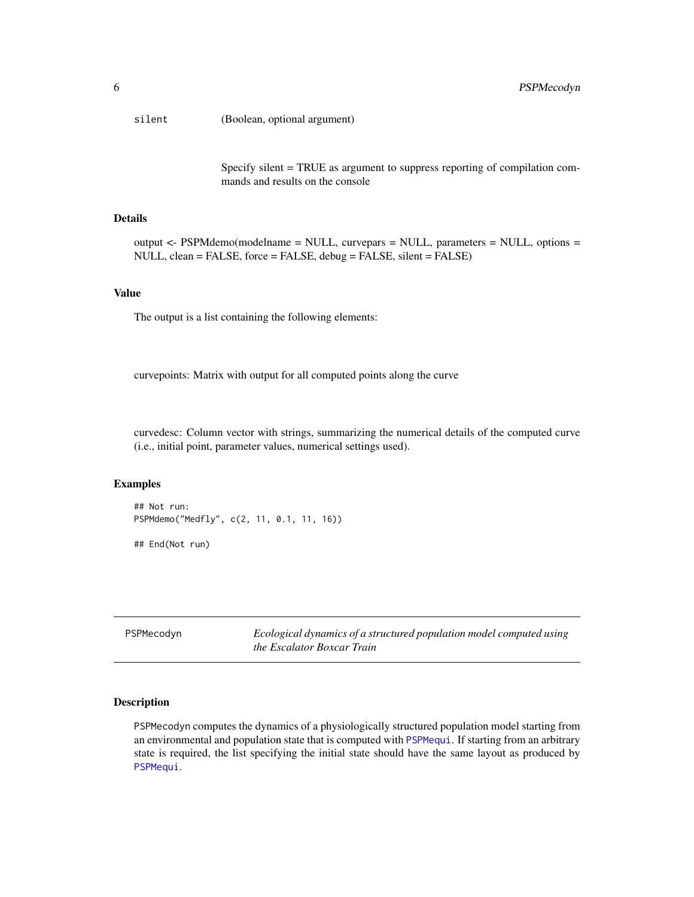<span id="page-5-0"></span>silent (Boolean, optional argument)

Specify silent = TRUE as argument to suppress reporting of compilation commands and results on the console

#### Details

output <- PSPMdemo(modelname = NULL, curvepars = NULL, parameters = NULL, options = NULL, clean = FALSE, force = FALSE, debug = FALSE, silent = FALSE)

#### Value

The output is a list containing the following elements:

curvepoints: Matrix with output for all computed points along the curve

curvedesc: Column vector with strings, summarizing the numerical details of the computed curve (i.e., initial point, parameter values, numerical settings used).

#### Examples

```
## Not run:
PSPMdemo("Medfly", c(2, 11, 0.1, 11, 16))
## End(Not run)
```
<span id="page-5-1"></span>PSPMecodyn *Ecological dynamics of a structured population model computed using the Escalator Boxcar Train*

#### Description

PSPMecodyn computes the dynamics of a physiologically structured population model starting from an environmental and population state that is computed with [PSPMequi](#page-9-1). If starting from an arbitrary state is required, the list specifying the initial state should have the same layout as produced by [PSPMequi](#page-9-1).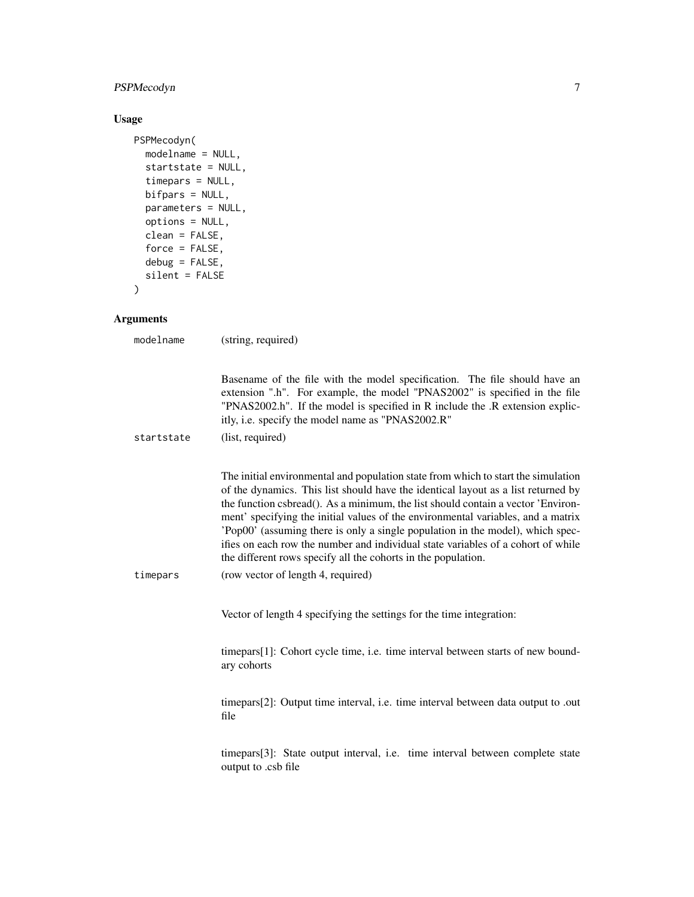#### PSPMecodyn 7

#### Usage

```
PSPMecodyn(
 modelname = NULL,
  startstate = NULL,
  timepars = NULL,
  bifpars = NULL,
  parameters = NULL,
  options = NULL,
  clean = FALSE,
  force = FALSE,
  debug = FALSE,silent = FALSE
)
```
#### Arguments

modelname (string, required)

Basename of the file with the model specification. The file should have an extension ".h". For example, the model "PNAS2002" is specified in the file "PNAS2002.h". If the model is specified in R include the .R extension explicitly, i.e. specify the model name as "PNAS2002.R" startstate (list, required) The initial environmental and population state from which to start the simulation of the dynamics. This list should have the identical layout as a list returned by the function csbread(). As a minimum, the list should contain a vector 'Environment' specifying the initial values of the environmental variables, and a matrix 'Pop00' (assuming there is only a single population in the model), which specifies on each row the number and individual state variables of a cohort of while the different rows specify all the cohorts in the population. timepars (row vector of length 4, required)

Vector of length 4 specifying the settings for the time integration:

timepars[1]: Cohort cycle time, i.e. time interval between starts of new boundary cohorts

timepars[2]: Output time interval, i.e. time interval between data output to .out file

timepars[3]: State output interval, i.e. time interval between complete state output to .csb file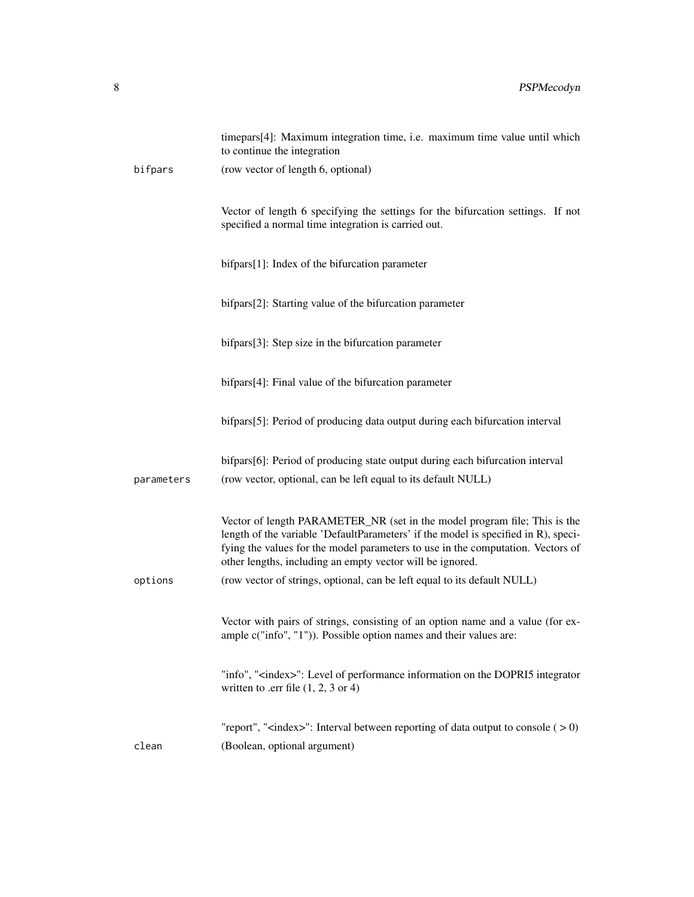|            | timepars[4]: Maximum integration time, i.e. maximum time value until which<br>to continue the integration                                                                                                                                                                                                       |
|------------|-----------------------------------------------------------------------------------------------------------------------------------------------------------------------------------------------------------------------------------------------------------------------------------------------------------------|
| bifpars    | (row vector of length 6, optional)                                                                                                                                                                                                                                                                              |
|            | Vector of length 6 specifying the settings for the bifurcation settings. If not<br>specified a normal time integration is carried out.                                                                                                                                                                          |
|            | bifpars[1]: Index of the bifurcation parameter                                                                                                                                                                                                                                                                  |
|            | bifpars[2]: Starting value of the bifurcation parameter                                                                                                                                                                                                                                                         |
|            | bifpars[3]: Step size in the bifurcation parameter                                                                                                                                                                                                                                                              |
|            | bifpars[4]: Final value of the bifurcation parameter                                                                                                                                                                                                                                                            |
|            | bifpars[5]: Period of producing data output during each bifurcation interval                                                                                                                                                                                                                                    |
| parameters | bifpars[6]: Period of producing state output during each bifurcation interval<br>(row vector, optional, can be left equal to its default NULL)                                                                                                                                                                  |
|            | Vector of length PARAMETER_NR (set in the model program file; This is the<br>length of the variable 'DefaultParameters' if the model is specified in R), speci-<br>fying the values for the model parameters to use in the computation. Vectors of<br>other lengths, including an empty vector will be ignored. |
| options    | (row vector of strings, optional, can be left equal to its default NULL)                                                                                                                                                                                                                                        |
|            | Vector with pairs of strings, consisting of an option name and a value (for ex-<br>ample c("info", "1")). Possible option names and their values are:                                                                                                                                                           |
|            | "info", " <index>": Level of performance information on the DOPRI5 integrator<br/>written to .err file <math>(1, 2, 3 \text{ or } 4)</math></index>                                                                                                                                                             |
| clean      | "report", " <index>": Interval between reporting of data output to console <math>(</math> &gt; 0)<br/>(Boolean, optional argument)</index>                                                                                                                                                                      |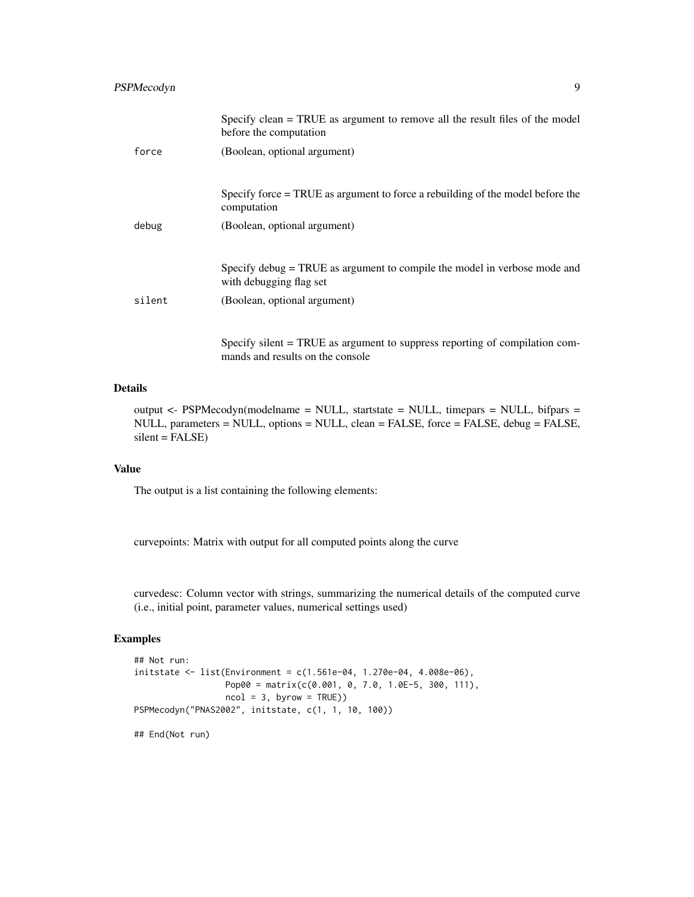|        | Specify clean = TRUE as argument to remove all the result files of the model<br>before the computation |
|--------|--------------------------------------------------------------------------------------------------------|
| force  | (Boolean, optional argument)                                                                           |
|        |                                                                                                        |
|        | Specify force = TRUE as argument to force a rebuilding of the model before the<br>computation          |
| debug  | (Boolean, optional argument)                                                                           |
|        |                                                                                                        |
|        | Specify debug = TRUE as argument to compile the model in verbose mode and<br>with debugging flag set   |
| silent | (Boolean, optional argument)                                                                           |
|        |                                                                                                        |
|        | Specify silent = TRUE as argument to suppress reporting of compilation com-                            |

#### Details

output <- PSPMecodyn(modelname = NULL, startstate = NULL, timepars = NULL, bifpars = NULL, parameters = NULL, options = NULL, clean = FALSE, force = FALSE, debug = FALSE,  $silent = FALSE)$ 

#### Value

The output is a list containing the following elements:

curvepoints: Matrix with output for all computed points along the curve

mands and results on the console

curvedesc: Column vector with strings, summarizing the numerical details of the computed curve (i.e., initial point, parameter values, numerical settings used)

#### Examples

```
## Not run:
initstate <- list(Environment = c(1.561e-04, 1.270e-04, 4.008e-06),
                 Pop00 = matrix(c(0.001, 0, 7.0, 1.0E-5, 300, 111),
                 ncol = 3, byrow = TRUE))
PSPMecodyn("PNAS2002", initstate, c(1, 1, 10, 100))
## End(Not run)
```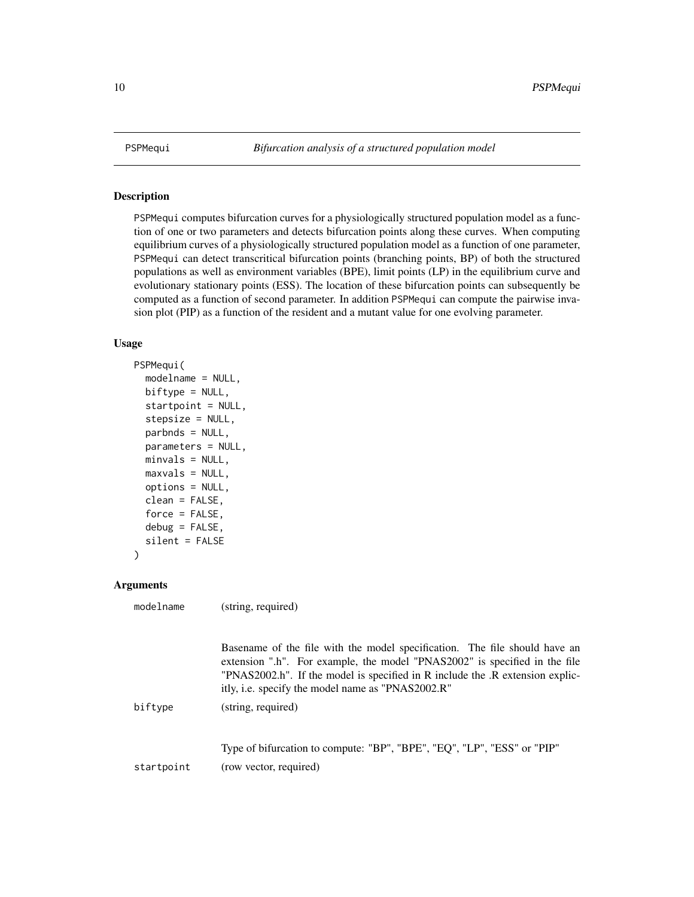#### Description

PSPMequi computes bifurcation curves for a physiologically structured population model as a function of one or two parameters and detects bifurcation points along these curves. When computing equilibrium curves of a physiologically structured population model as a function of one parameter, PSPMequi can detect transcritical bifurcation points (branching points, BP) of both the structured populations as well as environment variables (BPE), limit points (LP) in the equilibrium curve and evolutionary stationary points (ESS). The location of these bifurcation points can subsequently be computed as a function of second parameter. In addition PSPMequi can compute the pairwise invasion plot (PIP) as a function of the resident and a mutant value for one evolving parameter.

#### Usage

```
PSPMequi(
 modelname = NULL,
 biftype = NULL,
  startpoint = NULL,
  stepsize = NULL,
 parbnds = NULL,
 parameters = NULL,
 minvals = NULL,
 maxvals = NULL,
 options = NULL,
  clean = FALSE,
  force = FALSE,
  debug = FALSE,silent = FALSE
```
modelname (string, required)

```
\mathcal{E}
```
#### Arguments

|            | Basename of the file with the model specification. The file should have an<br>extension ".h". For example, the model "PNAS2002" is specified in the file<br>"PNAS2002.h". If the model is specified in R include the .R extension explic-<br>itly, i.e. specify the model name as "PNAS2002.R" |
|------------|------------------------------------------------------------------------------------------------------------------------------------------------------------------------------------------------------------------------------------------------------------------------------------------------|
| biftype    | (string, required)                                                                                                                                                                                                                                                                             |
| startpoint | Type of bifurcation to compute: "BP", "BPE", "EQ", "LP", "ESS" or "PIP"<br>(row vector, required)                                                                                                                                                                                              |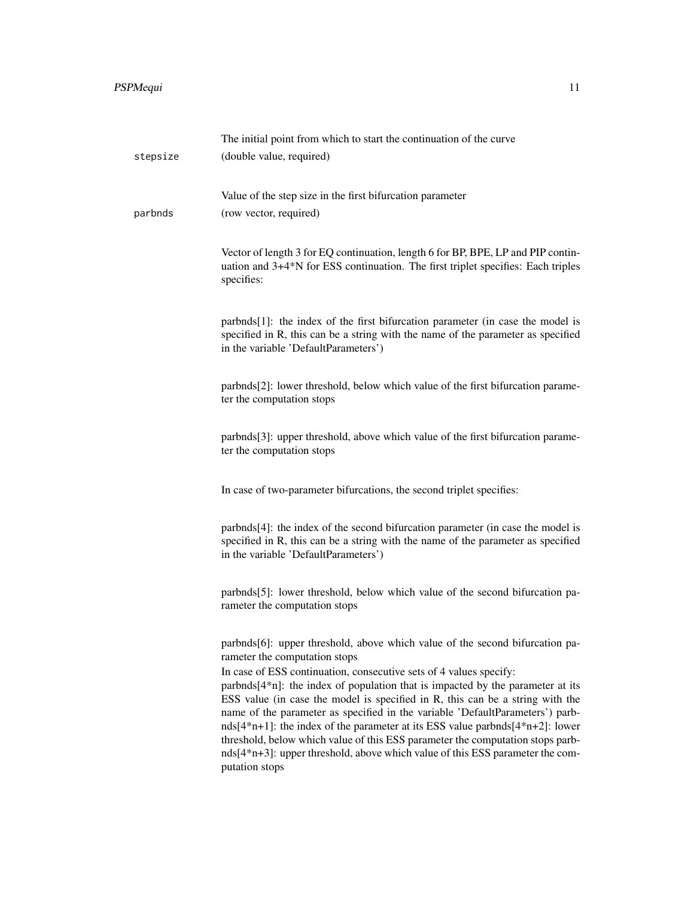|          | The initial point from which to start the continuation of the curve                                                                                                                                                                                                                                                                                                                                                                                                                                                                                                                                                                                                                                                   |
|----------|-----------------------------------------------------------------------------------------------------------------------------------------------------------------------------------------------------------------------------------------------------------------------------------------------------------------------------------------------------------------------------------------------------------------------------------------------------------------------------------------------------------------------------------------------------------------------------------------------------------------------------------------------------------------------------------------------------------------------|
| stepsize | (double value, required)                                                                                                                                                                                                                                                                                                                                                                                                                                                                                                                                                                                                                                                                                              |
|          |                                                                                                                                                                                                                                                                                                                                                                                                                                                                                                                                                                                                                                                                                                                       |
|          | Value of the step size in the first bifurcation parameter                                                                                                                                                                                                                                                                                                                                                                                                                                                                                                                                                                                                                                                             |
| parbnds  | (row vector, required)                                                                                                                                                                                                                                                                                                                                                                                                                                                                                                                                                                                                                                                                                                |
|          | Vector of length 3 for EQ continuation, length 6 for BP, BPE, LP and PIP contin-<br>uation and 3+4*N for ESS continuation. The first triplet specifies: Each triples<br>specifies:                                                                                                                                                                                                                                                                                                                                                                                                                                                                                                                                    |
|          | parbnds[1]: the index of the first bifurcation parameter (in case the model is<br>specified in R, this can be a string with the name of the parameter as specified<br>in the variable 'DefaultParameters')                                                                                                                                                                                                                                                                                                                                                                                                                                                                                                            |
|          | parbnds[2]: lower threshold, below which value of the first bifurcation parame-<br>ter the computation stops                                                                                                                                                                                                                                                                                                                                                                                                                                                                                                                                                                                                          |
|          | parbnds[3]: upper threshold, above which value of the first bifurcation parame-<br>ter the computation stops                                                                                                                                                                                                                                                                                                                                                                                                                                                                                                                                                                                                          |
|          | In case of two-parameter bifurcations, the second triplet specifies:                                                                                                                                                                                                                                                                                                                                                                                                                                                                                                                                                                                                                                                  |
|          | parbnds[4]: the index of the second bifurcation parameter (in case the model is<br>specified in R, this can be a string with the name of the parameter as specified<br>in the variable 'DefaultParameters')                                                                                                                                                                                                                                                                                                                                                                                                                                                                                                           |
|          | parbnds[5]: lower threshold, below which value of the second bifurcation pa-<br>rameter the computation stops                                                                                                                                                                                                                                                                                                                                                                                                                                                                                                                                                                                                         |
|          | parbnds[6]: upper threshold, above which value of the second bifurcation pa-<br>rameter the computation stops<br>In case of ESS continuation, consecutive sets of 4 values specify:<br>parbnds[4*n]: the index of population that is impacted by the parameter at its<br>ESS value (in case the model is specified in R, this can be a string with the<br>name of the parameter as specified in the variable 'DefaultParameters') parb-<br>nds[ $4*n+1$ ]: the index of the parameter at its ESS value parbnds[ $4*n+2$ ]: lower<br>threshold, below which value of this ESS parameter the computation stops parb-<br>nds[4*n+3]: upper threshold, above which value of this ESS parameter the com-<br>putation stops |
|          |                                                                                                                                                                                                                                                                                                                                                                                                                                                                                                                                                                                                                                                                                                                       |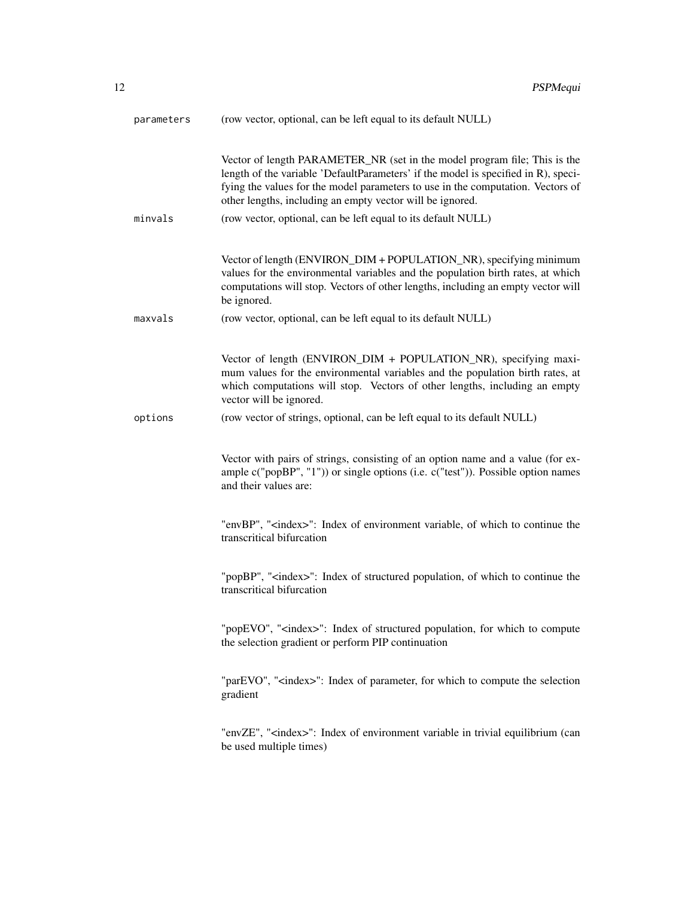| parameters | (row vector, optional, can be left equal to its default NULL)                                                                                                                                                                                                                                                                                                                    |
|------------|----------------------------------------------------------------------------------------------------------------------------------------------------------------------------------------------------------------------------------------------------------------------------------------------------------------------------------------------------------------------------------|
| minvals    | Vector of length PARAMETER_NR (set in the model program file; This is the<br>length of the variable 'DefaultParameters' if the model is specified in R), speci-<br>fying the values for the model parameters to use in the computation. Vectors of<br>other lengths, including an empty vector will be ignored.<br>(row vector, optional, can be left equal to its default NULL) |
|            | Vector of length (ENVIRON_DIM + POPULATION_NR), specifying minimum<br>values for the environmental variables and the population birth rates, at which<br>computations will stop. Vectors of other lengths, including an empty vector will<br>be ignored.                                                                                                                         |
| maxvals    | (row vector, optional, can be left equal to its default NULL)                                                                                                                                                                                                                                                                                                                    |
|            | Vector of length (ENVIRON_DIM + POPULATION_NR), specifying maxi-<br>mum values for the environmental variables and the population birth rates, at<br>which computations will stop. Vectors of other lengths, including an empty<br>vector will be ignored.                                                                                                                       |
| options    | (row vector of strings, optional, can be left equal to its default NULL)                                                                                                                                                                                                                                                                                                         |
|            | Vector with pairs of strings, consisting of an option name and a value (for ex-<br>ample $c("popBP", "1")$ or single options (i.e. $c("test")$ ). Possible option names<br>and their values are:                                                                                                                                                                                 |
|            | "envBP", " <index>": Index of environment variable, of which to continue the<br/>transcritical bifurcation</index>                                                                                                                                                                                                                                                               |
|            | "popBP", " <index>": Index of structured population, of which to continue the<br/>transcritical bifurcation</index>                                                                                                                                                                                                                                                              |
|            | "popEVO", " <index>": Index of structured population, for which to compute<br/>the selection gradient or perform PIP continuation</index>                                                                                                                                                                                                                                        |
|            | "parEVO", " <index>": Index of parameter, for which to compute the selection<br/>gradient</index>                                                                                                                                                                                                                                                                                |
|            | "envZE", " <index>": Index of environment variable in trivial equilibrium (can<br/>be used multiple times)</index>                                                                                                                                                                                                                                                               |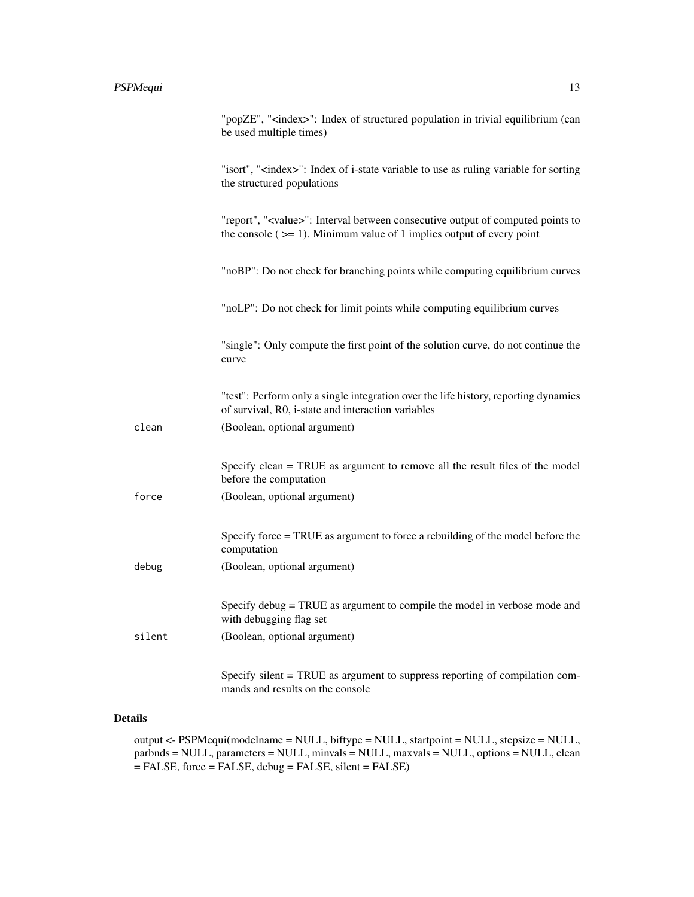|        | "popZE", " <index>": Index of structured population in trivial equilibrium (can<br/>be used multiple times)</index>                                                              |
|--------|----------------------------------------------------------------------------------------------------------------------------------------------------------------------------------|
|        | "isort", " <index>": Index of i-state variable to use as ruling variable for sorting<br/>the structured populations</index>                                                      |
|        | "report", " <value>": Interval between consecutive output of computed points to<br/>the console <math>(&gt;= 1)</math>. Minimum value of 1 implies output of every point</value> |
|        | "noBP": Do not check for branching points while computing equilibrium curves                                                                                                     |
|        | "noLP": Do not check for limit points while computing equilibrium curves                                                                                                         |
|        | "single": Only compute the first point of the solution curve, do not continue the<br>curve                                                                                       |
|        | "test": Perform only a single integration over the life history, reporting dynamics<br>of survival, R0, i-state and interaction variables                                        |
| clean  | (Boolean, optional argument)                                                                                                                                                     |
|        | Specify clean = TRUE as argument to remove all the result files of the model<br>before the computation                                                                           |
| force  | (Boolean, optional argument)                                                                                                                                                     |
|        | Specify force = TRUE as argument to force a rebuilding of the model before the<br>computation                                                                                    |
| debug  | (Boolean, optional argument)                                                                                                                                                     |
|        | Specify debug = TRUE as argument to compile the model in verbose mode and<br>with debugging flag set                                                                             |
| silent | (Boolean, optional argument)                                                                                                                                                     |
|        | Specify silent = TRUE as argument to suppress reporting of compilation com-<br>mands and results on the console                                                                  |

#### Details

output <- PSPMequi(modelname = NULL, biftype = NULL, startpoint = NULL, stepsize = NULL, parbnds = NULL, parameters = NULL, minvals = NULL, maxvals = NULL, options = NULL, clean = FALSE, force = FALSE, debug = FALSE, silent = FALSE)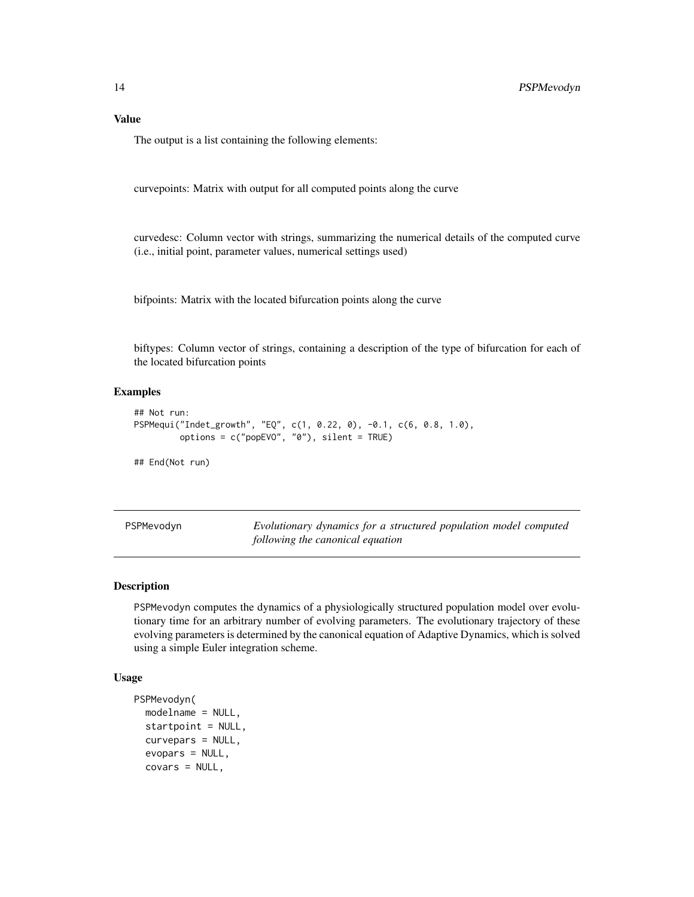#### <span id="page-13-0"></span>Value

The output is a list containing the following elements:

curvepoints: Matrix with output for all computed points along the curve

curvedesc: Column vector with strings, summarizing the numerical details of the computed curve (i.e., initial point, parameter values, numerical settings used)

bifpoints: Matrix with the located bifurcation points along the curve

biftypes: Column vector of strings, containing a description of the type of bifurcation for each of the located bifurcation points

#### Examples

```
## Not run:
PSPMequi("Indet_growth", "EQ", c(1, 0.22, 0), -0.1, c(6, 0.8, 1.0),
         options = c("popEVO", "0"), silent = TRUE)
## End(Not run)
```
<span id="page-13-1"></span>PSPMevodyn *Evolutionary dynamics for a structured population model computed following the canonical equation*

#### Description

PSPMevodyn computes the dynamics of a physiologically structured population model over evolutionary time for an arbitrary number of evolving parameters. The evolutionary trajectory of these evolving parameters is determined by the canonical equation of Adaptive Dynamics, which is solved using a simple Euler integration scheme.

#### Usage

```
PSPMevodyn(
 modelname = NULL,
  startpoint = NULL,
  curvepars = NULL,
  evopars = NULL,
  covars = NULL,
```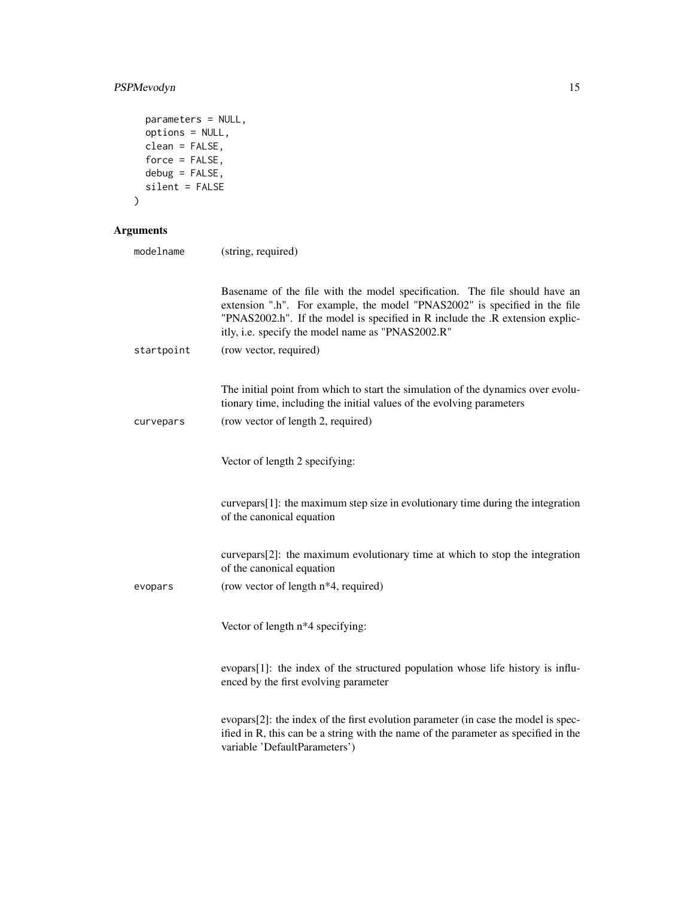#### PSPMevodyn 15

```
parameters = NULL,
 options = NULL,
 clean = FALSE,
 force = FALSE,debug = FALSE,silent = FALSE
\mathcal{L}
```
#### Arguments

| modelname  | (string, required)                                                                                                                                                                                                                                                                             |
|------------|------------------------------------------------------------------------------------------------------------------------------------------------------------------------------------------------------------------------------------------------------------------------------------------------|
|            | Basename of the file with the model specification. The file should have an<br>extension ".h". For example, the model "PNAS2002" is specified in the file<br>"PNAS2002.h". If the model is specified in R include the .R extension explic-<br>itly, i.e. specify the model name as "PNAS2002.R" |
| startpoint | (row vector, required)                                                                                                                                                                                                                                                                         |
| curvepars  | The initial point from which to start the simulation of the dynamics over evolu-<br>tionary time, including the initial values of the evolving parameters<br>(row vector of length 2, required)                                                                                                |
|            | Vector of length 2 specifying:                                                                                                                                                                                                                                                                 |
|            | curvepars[1]: the maximum step size in evolutionary time during the integration<br>of the canonical equation                                                                                                                                                                                   |
|            | curvepars[2]: the maximum evolutionary time at which to stop the integration<br>of the canonical equation                                                                                                                                                                                      |
| evopars    | (row vector of length n <sup>*4</sup> , required)                                                                                                                                                                                                                                              |
|            | Vector of length n*4 specifying:                                                                                                                                                                                                                                                               |
|            | evopars[1]: the index of the structured population whose life history is influ-<br>enced by the first evolving parameter                                                                                                                                                                       |
|            | evopars[2]: the index of the first evolution parameter (in case the model is spec-<br>ified in R, this can be a string with the name of the parameter as specified in the<br>variable 'DefaultParameters')                                                                                     |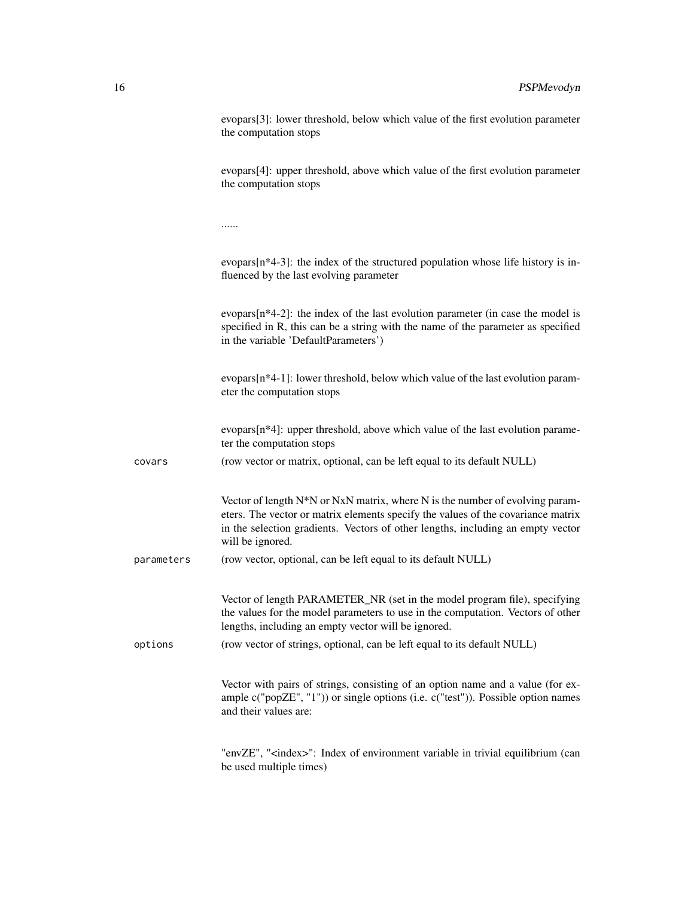|            | evopars[3]: lower threshold, below which value of the first evolution parameter<br>the computation stops                                                                                                                                                                |
|------------|-------------------------------------------------------------------------------------------------------------------------------------------------------------------------------------------------------------------------------------------------------------------------|
|            | evopars[4]: upper threshold, above which value of the first evolution parameter<br>the computation stops                                                                                                                                                                |
|            |                                                                                                                                                                                                                                                                         |
|            | evopars $[n*4-3]$ : the index of the structured population whose life history is in-<br>fluenced by the last evolving parameter                                                                                                                                         |
|            | evopars $[n*4-2]$ : the index of the last evolution parameter (in case the model is<br>specified in R, this can be a string with the name of the parameter as specified<br>in the variable 'DefaultParameters')                                                         |
|            | evopars $[n*4-1]$ : lower threshold, below which value of the last evolution param-<br>eter the computation stops                                                                                                                                                       |
|            | evopars[n*4]: upper threshold, above which value of the last evolution parame-<br>ter the computation stops                                                                                                                                                             |
| covars     | (row vector or matrix, optional, can be left equal to its default NULL)                                                                                                                                                                                                 |
|            | Vector of length N*N or NxN matrix, where N is the number of evolving param-<br>eters. The vector or matrix elements specify the values of the covariance matrix<br>in the selection gradients. Vectors of other lengths, including an empty vector<br>will be ignored. |
| parameters | (row vector, optional, can be left equal to its default NULL)                                                                                                                                                                                                           |
|            | Vector of length PARAMETER_NR (set in the model program file), specifying<br>the values for the model parameters to use in the computation. Vectors of other<br>lengths, including an empty vector will be ignored.                                                     |
| options    | (row vector of strings, optional, can be left equal to its default NULL)                                                                                                                                                                                                |
|            | Vector with pairs of strings, consisting of an option name and a value (for ex-<br>ample c("popZE", "1")) or single options (i.e. c("test")). Possible option names<br>and their values are:                                                                            |
|            | "envZE", " <index>": Index of environment variable in trivial equilibrium (can<br/>be used multiple times)</index>                                                                                                                                                      |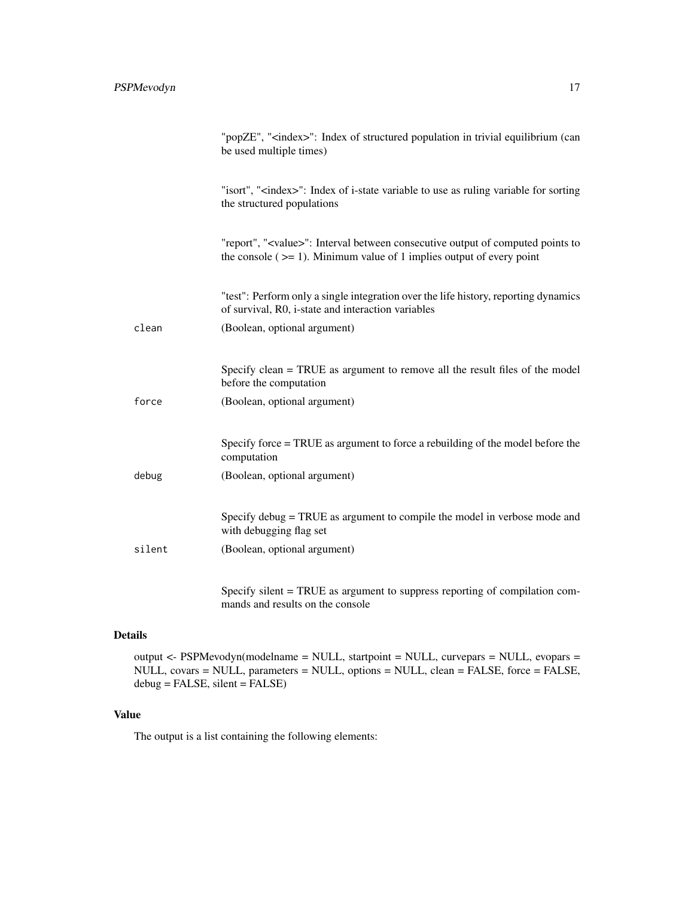|        | "popZE", " <index>": Index of structured population in trivial equilibrium (can<br/>be used multiple times)</index>                                                             |
|--------|---------------------------------------------------------------------------------------------------------------------------------------------------------------------------------|
|        | "isort", " <index>": Index of i-state variable to use as ruling variable for sorting<br/>the structured populations</index>                                                     |
|        | "report", " <value>": Interval between consecutive output of computed points to<br/>the console (<math>\ge</math>= 1). Minimum value of 1 implies output of every point</value> |
|        | "test": Perform only a single integration over the life history, reporting dynamics<br>of survival, R0, i-state and interaction variables                                       |
| clean  | (Boolean, optional argument)                                                                                                                                                    |
|        |                                                                                                                                                                                 |
|        | Specify clean = TRUE as argument to remove all the result files of the model<br>before the computation                                                                          |
| force  | (Boolean, optional argument)                                                                                                                                                    |
|        |                                                                                                                                                                                 |
|        | Specify force = TRUE as argument to force a rebuilding of the model before the<br>computation                                                                                   |
| debug  | (Boolean, optional argument)                                                                                                                                                    |
|        |                                                                                                                                                                                 |
|        | Specify debug = TRUE as argument to compile the model in verbose mode and<br>with debugging flag set                                                                            |
| silent | (Boolean, optional argument)                                                                                                                                                    |
|        |                                                                                                                                                                                 |
|        | חזדת החדר מי<br>$\mathbf{r}$                                                                                                                                                    |

Specify silent = TRUE as argument to suppress reporting of compilation commands and results on the console

#### Details

output <- PSPMevodyn(modelname = NULL, startpoint = NULL, curvepars = NULL, evopars = NULL, covars = NULL, parameters = NULL, options = NULL, clean = FALSE, force = FALSE,  $debug = FALSE, silent = FALSE)$ 

#### Value

The output is a list containing the following elements: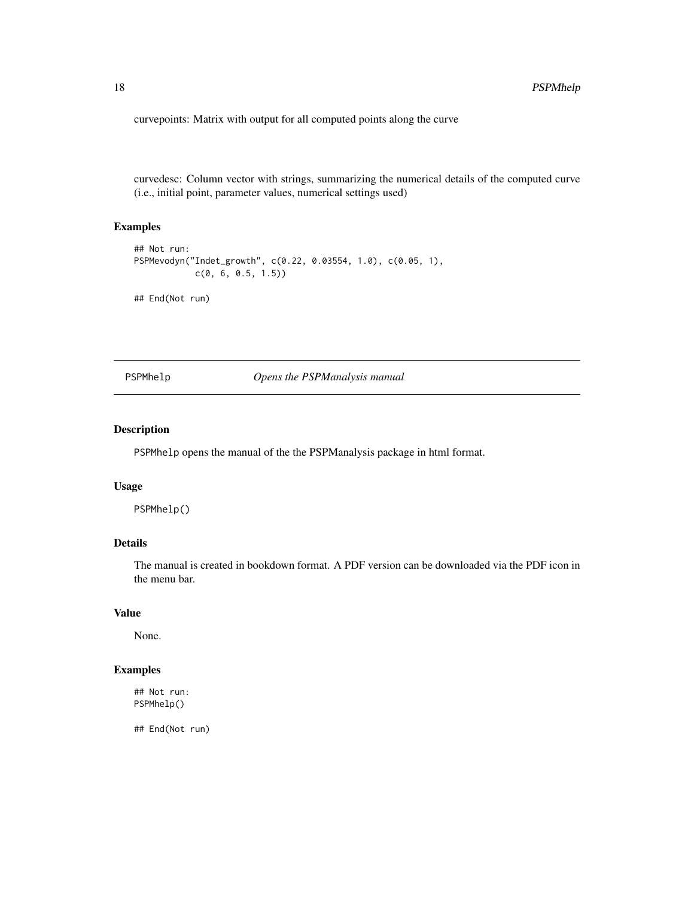<span id="page-17-0"></span>curvepoints: Matrix with output for all computed points along the curve

curvedesc: Column vector with strings, summarizing the numerical details of the computed curve (i.e., initial point, parameter values, numerical settings used)

#### Examples

```
## Not run:
PSPMevodyn("Indet_growth", c(0.22, 0.03554, 1.0), c(0.05, 1),
            c(0, 6, 0.5, 1.5))
```
## End(Not run)

PSPMhelp *Opens the PSPManalysis manual*

#### Description

PSPMhelp opens the manual of the the PSPManalysis package in html format.

#### Usage

PSPMhelp()

#### Details

The manual is created in bookdown format. A PDF version can be downloaded via the PDF icon in the menu bar.

#### Value

None.

#### Examples

## Not run: PSPMhelp()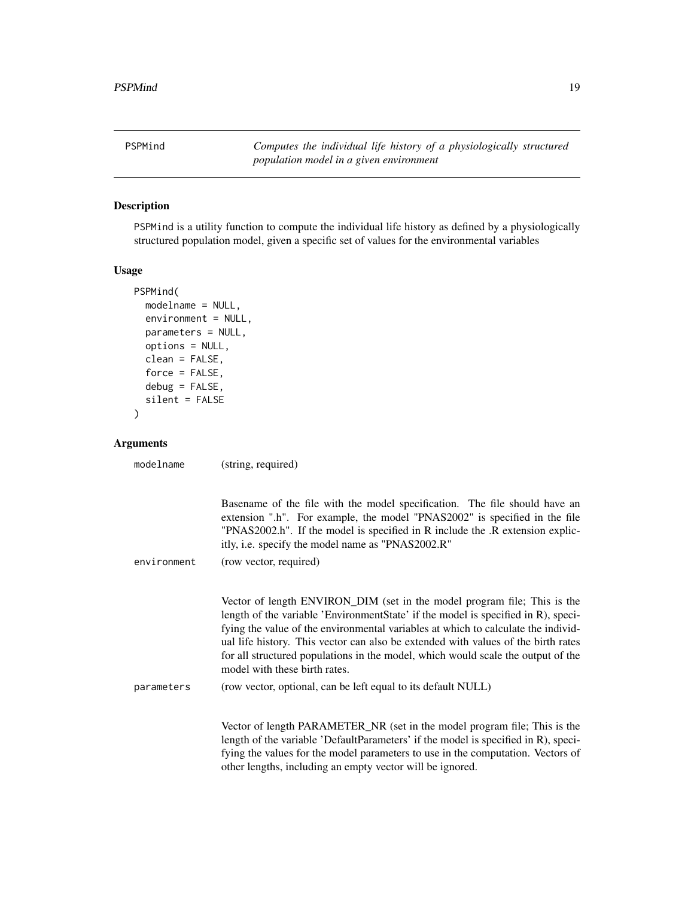<span id="page-18-0"></span>PSPMind *Computes the individual life history of a physiologically structured population model in a given environment*

#### Description

PSPMind is a utility function to compute the individual life history as defined by a physiologically structured population model, given a specific set of values for the environmental variables

#### Usage

```
PSPMind(
  modelname = NULL,
  environment = NULL,
 parameters = NULL,
 options = NULL,
  clean = FALSE,
  force = FALSE,
 debug = FALSE,
  silent = FALSE
```
)

#### Arguments

modelname (string, required)

|             | Basename of the file with the model specification. The file should have an<br>extension ".h". For example, the model "PNAS2002" is specified in the file<br>"PNAS2002.h". If the model is specified in R include the .R extension explic-<br>itly, i.e. specify the model name as "PNAS2002.R"                                                                                                                                                               |
|-------------|--------------------------------------------------------------------------------------------------------------------------------------------------------------------------------------------------------------------------------------------------------------------------------------------------------------------------------------------------------------------------------------------------------------------------------------------------------------|
| environment | (row vector, required)                                                                                                                                                                                                                                                                                                                                                                                                                                       |
|             | Vector of length ENVIRON_DIM (set in the model program file; This is the<br>length of the variable 'EnvironmentState' if the model is specified in R), speci-<br>fying the value of the environmental variables at which to calculate the individ-<br>ual life history. This vector can also be extended with values of the birth rates<br>for all structured populations in the model, which would scale the output of the<br>model with these birth rates. |
| parameters  | (row vector, optional, can be left equal to its default NULL)                                                                                                                                                                                                                                                                                                                                                                                                |
|             | Vector of length PARAMETER_NR (set in the model program file; This is the<br>length of the variable 'DefaultParameters' if the model is specified in R), speci-<br>fying the values for the model parameters to use in the computation. Vectors of                                                                                                                                                                                                           |

other lengths, including an empty vector will be ignored.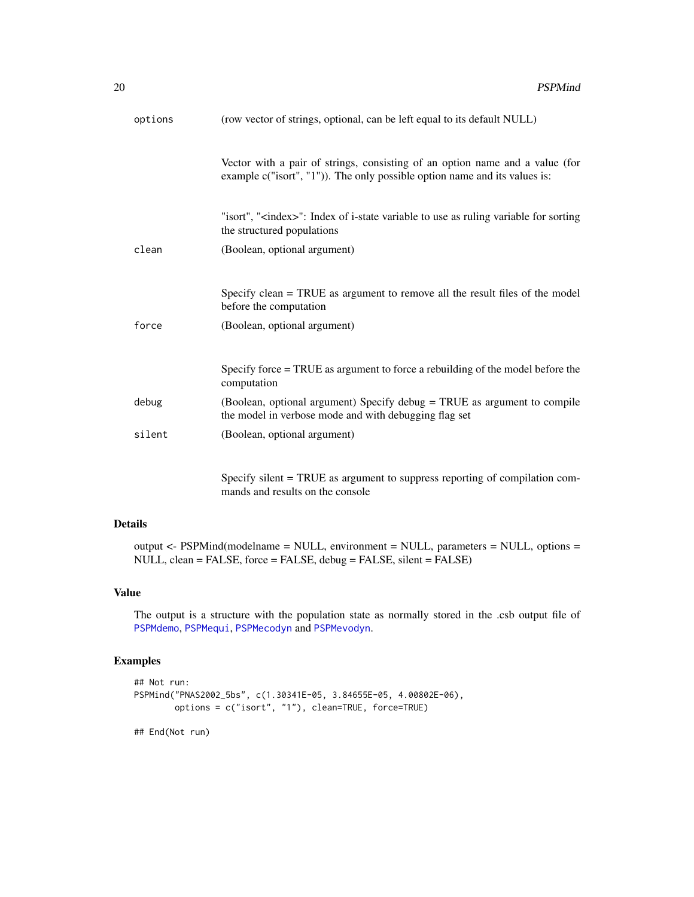<span id="page-19-0"></span>

| options | (row vector of strings, optional, can be left equal to its default NULL)                                                                                   |
|---------|------------------------------------------------------------------------------------------------------------------------------------------------------------|
|         | Vector with a pair of strings, consisting of an option name and a value (for<br>example c("isort", "1")). The only possible option name and its values is: |
|         | "isort", " <index>": Index of i-state variable to use as ruling variable for sorting<br/>the structured populations</index>                                |
| clean   | (Boolean, optional argument)                                                                                                                               |
|         | Specify clean = TRUE as argument to remove all the result files of the model<br>before the computation                                                     |
| force   | (Boolean, optional argument)                                                                                                                               |
|         | Specify force = TRUE as argument to force a rebuilding of the model before the<br>computation                                                              |
| debug   | (Boolean, optional argument) Specify debug = TRUE as argument to compile<br>the model in verbose mode and with debugging flag set                          |
| silent  | (Boolean, optional argument)                                                                                                                               |
|         | Specify silent $-$ TRHE as aroument to suppress reporting of compilation com-                                                                              |

Specify silent = TRUE as argument to suppress reporting of compilation commands and results on the console

#### Details

output <- PSPMind(modelname = NULL, environment = NULL, parameters = NULL, options = NULL, clean = FALSE, force = FALSE, debug = FALSE, silent = FALSE)

#### Value

The output is a structure with the population state as normally stored in the .csb output file of [PSPMdemo](#page-3-1), [PSPMequi](#page-9-1), [PSPMecodyn](#page-5-1) and [PSPMevodyn](#page-13-1).

#### Examples

```
## Not run:
PSPMind("PNAS2002_5bs", c(1.30341E-05, 3.84655E-05, 4.00802E-06),
       options = c("isort", "1"), clean=TRUE, force=TRUE)
```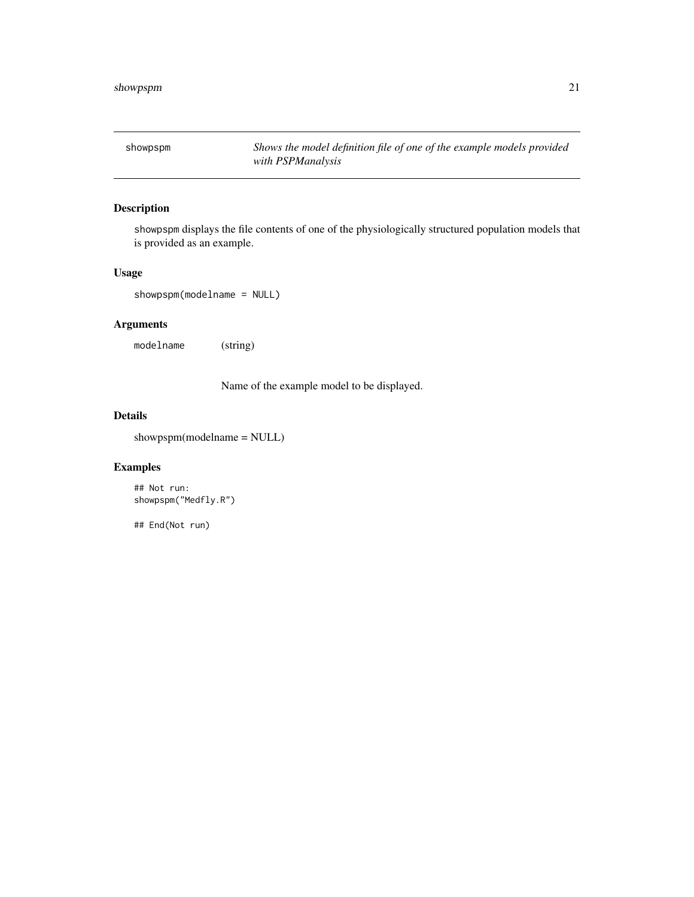<span id="page-20-0"></span>showpspm *Shows the model definition file of one of the example models provided with PSPManalysis*

#### Description

showpspm displays the file contents of one of the physiologically structured population models that is provided as an example.

#### Usage

showpspm(modelname = NULL)

#### Arguments

modelname (string)

Name of the example model to be displayed.

#### Details

showpspm(modelname = NULL)

#### Examples

```
## Not run:
showpspm("Medfly.R")
```